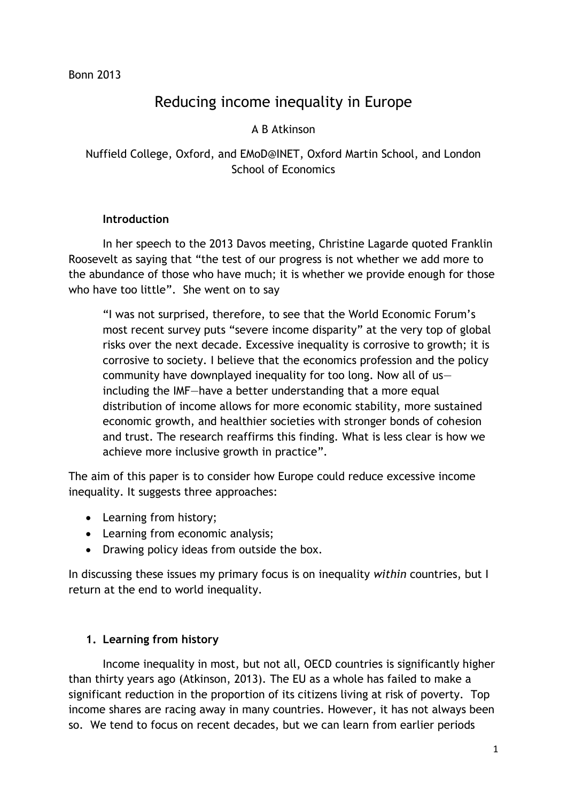# Reducing income inequality in Europe

# A B Atkinson

# Nuffield College, Oxford, and EMoD@INET, Oxford Martin School, and London School of Economics

# **Introduction**

In her speech to the 2013 Davos meeting, Christine Lagarde quoted Franklin Roosevelt as saying that "the test of our progress is not whether we add more to the abundance of those who have much; it is whether we provide enough for those who have too little". She went on to say

―I was not surprised, therefore, to see that the World Economic Forum's most recent survey puts "severe income disparity" at the very top of global risks over the next decade. Excessive inequality is corrosive to growth; it is corrosive to society. I believe that the economics profession and the policy community have downplayed inequality for too long. Now all of us including the IMF—have a better understanding that a more equal distribution of income allows for more economic stability, more sustained economic growth, and healthier societies with stronger bonds of cohesion and trust. The research reaffirms this finding. What is less clear is how we achieve more inclusive growth in practice".

The aim of this paper is to consider how Europe could reduce excessive income inequality. It suggests three approaches:

- Learning from history;
- Learning from economic analysis;
- Drawing policy ideas from outside the box.

In discussing these issues my primary focus is on inequality *within* countries, but I return at the end to world inequality.

# **1. Learning from history**

Income inequality in most, but not all, OECD countries is significantly higher than thirty years ago (Atkinson, 2013). The EU as a whole has failed to make a significant reduction in the proportion of its citizens living at risk of poverty. Top income shares are racing away in many countries. However, it has not always been so. We tend to focus on recent decades, but we can learn from earlier periods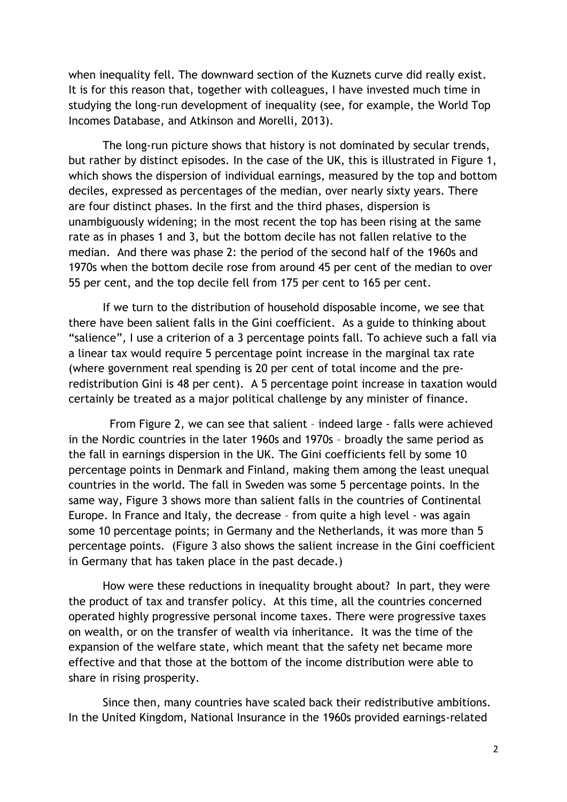when inequality fell. The downward section of the Kuznets curve did really exist. It is for this reason that, together with colleagues, I have invested much time in studying the long-run development of inequality (see, for example, the World Top Incomes Database, and Atkinson and Morelli, 2013).

The long-run picture shows that history is not dominated by secular trends, but rather by distinct episodes. In the case of the UK, this is illustrated in Figure 1, which shows the dispersion of individual earnings, measured by the top and bottom deciles, expressed as percentages of the median, over nearly sixty years. There are four distinct phases. In the first and the third phases, dispersion is unambiguously widening; in the most recent the top has been rising at the same rate as in phases 1 and 3, but the bottom decile has not fallen relative to the median. And there was phase 2: the period of the second half of the 1960s and 1970s when the bottom decile rose from around 45 per cent of the median to over 55 per cent, and the top decile fell from 175 per cent to 165 per cent.

If we turn to the distribution of household disposable income, we see that there have been salient falls in the Gini coefficient. As a guide to thinking about "salience", I use a criterion of a 3 percentage points fall. To achieve such a fall via a linear tax would require 5 percentage point increase in the marginal tax rate (where government real spending is 20 per cent of total income and the preredistribution Gini is 48 per cent). A 5 percentage point increase in taxation would certainly be treated as a major political challenge by any minister of finance.

 From Figure 2, we can see that salient – indeed large - falls were achieved in the Nordic countries in the later 1960s and 1970s – broadly the same period as the fall in earnings dispersion in the UK. The Gini coefficients fell by some 10 percentage points in Denmark and Finland, making them among the least unequal countries in the world. The fall in Sweden was some 5 percentage points. In the same way, Figure 3 shows more than salient falls in the countries of Continental Europe. In France and Italy, the decrease – from quite a high level - was again some 10 percentage points; in Germany and the Netherlands, it was more than 5 percentage points. (Figure 3 also shows the salient increase in the Gini coefficient in Germany that has taken place in the past decade.)

How were these reductions in inequality brought about? In part, they were the product of tax and transfer policy. At this time, all the countries concerned operated highly progressive personal income taxes. There were progressive taxes on wealth, or on the transfer of wealth via inheritance. It was the time of the expansion of the welfare state, which meant that the safety net became more effective and that those at the bottom of the income distribution were able to share in rising prosperity.

Since then, many countries have scaled back their redistributive ambitions. In the United Kingdom, National Insurance in the 1960s provided earnings-related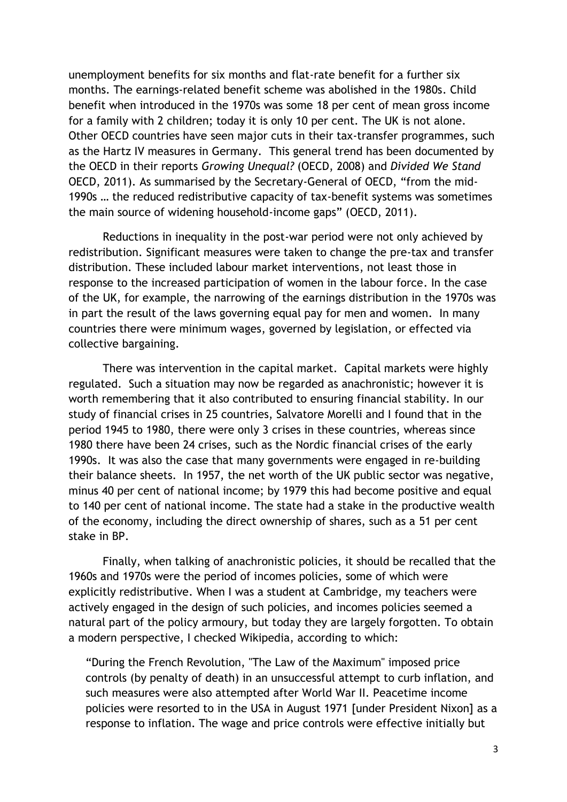unemployment benefits for six months and flat-rate benefit for a further six months. The earnings-related benefit scheme was abolished in the 1980s. Child benefit when introduced in the 1970s was some 18 per cent of mean gross income for a family with 2 children; today it is only 10 per cent. The UK is not alone. Other OECD countries have seen major cuts in their tax-transfer programmes, such as the Hartz IV measures in Germany. This general trend has been documented by the OECD in their reports *Growing Unequal?* (OECD, 2008) and *Divided We Stand* OECD, 2011). As summarised by the Secretary-General of OECD, "from the mid-1990s … the reduced redistributive capacity of tax-benefit systems was sometimes the main source of widening household-income gaps" (OECD, 2011).

Reductions in inequality in the post-war period were not only achieved by redistribution. Significant measures were taken to change the pre-tax and transfer distribution. These included labour market interventions, not least those in response to the increased participation of women in the labour force. In the case of the UK, for example, the narrowing of the earnings distribution in the 1970s was in part the result of the laws governing equal pay for men and women. In many countries there were minimum wages, governed by legislation, or effected via collective bargaining.

There was intervention in the capital market. Capital markets were highly regulated. Such a situation may now be regarded as anachronistic; however it is worth remembering that it also contributed to ensuring financial stability. In our study of financial crises in 25 countries, Salvatore Morelli and I found that in the period 1945 to 1980, there were only 3 crises in these countries, whereas since 1980 there have been 24 crises, such as the Nordic financial crises of the early 1990s. It was also the case that many governments were engaged in re-building their balance sheets. In 1957, the net worth of the UK public sector was negative, minus 40 per cent of national income; by 1979 this had become positive and equal to 140 per cent of national income. The state had a stake in the productive wealth of the economy, including the direct ownership of shares, such as a 51 per cent stake in BP.

Finally, when talking of anachronistic policies, it should be recalled that the 1960s and 1970s were the period of incomes policies, some of which were explicitly redistributive. When I was a student at Cambridge, my teachers were actively engaged in the design of such policies, and incomes policies seemed a natural part of the policy armoury, but today they are largely forgotten. To obtain a modern perspective, I checked Wikipedia, according to which:

―During the French Revolution, "The Law of the Maximum" imposed price controls (by penalty of death) in an unsuccessful attempt to curb inflation, and such measures were also attempted after World War II. Peacetime income policies were resorted to in the USA in August 1971 [under President Nixon] as a response to inflation. The wage and price controls were effective initially but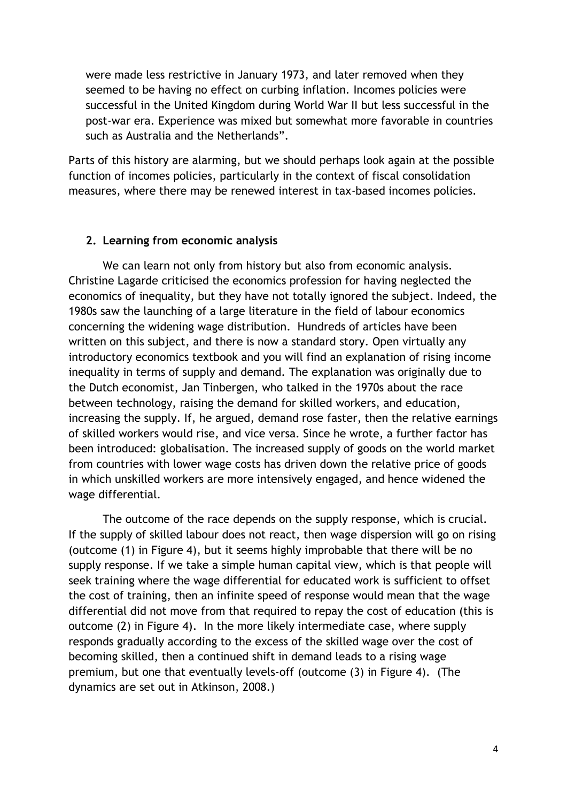were made less restrictive in January 1973, and later removed when they seemed to be having no effect on curbing inflation. Incomes policies were successful in the United Kingdom during World War II but less successful in the post-war era. Experience was mixed but somewhat more favorable in countries such as Australia and the Netherlands".

Parts of this history are alarming, but we should perhaps look again at the possible function of incomes policies, particularly in the context of fiscal consolidation measures, where there may be renewed interest in tax-based incomes policies.

### **2. Learning from economic analysis**

We can learn not only from history but also from economic analysis. Christine Lagarde criticised the economics profession for having neglected the economics of inequality, but they have not totally ignored the subject. Indeed, the 1980s saw the launching of a large literature in the field of labour economics concerning the widening wage distribution. Hundreds of articles have been written on this subject, and there is now a standard story. Open virtually any introductory economics textbook and you will find an explanation of rising income inequality in terms of supply and demand. The explanation was originally due to the Dutch economist, Jan Tinbergen, who talked in the 1970s about the race between technology, raising the demand for skilled workers, and education, increasing the supply. If, he argued, demand rose faster, then the relative earnings of skilled workers would rise, and vice versa. Since he wrote, a further factor has been introduced: globalisation. The increased supply of goods on the world market from countries with lower wage costs has driven down the relative price of goods in which unskilled workers are more intensively engaged, and hence widened the wage differential.

The outcome of the race depends on the supply response, which is crucial. If the supply of skilled labour does not react, then wage dispersion will go on rising (outcome (1) in Figure 4), but it seems highly improbable that there will be no supply response. If we take a simple human capital view, which is that people will seek training where the wage differential for educated work is sufficient to offset the cost of training, then an infinite speed of response would mean that the wage differential did not move from that required to repay the cost of education (this is outcome (2) in Figure 4). In the more likely intermediate case, where supply responds gradually according to the excess of the skilled wage over the cost of becoming skilled, then a continued shift in demand leads to a rising wage premium, but one that eventually levels-off (outcome (3) in Figure 4). (The dynamics are set out in Atkinson, 2008.)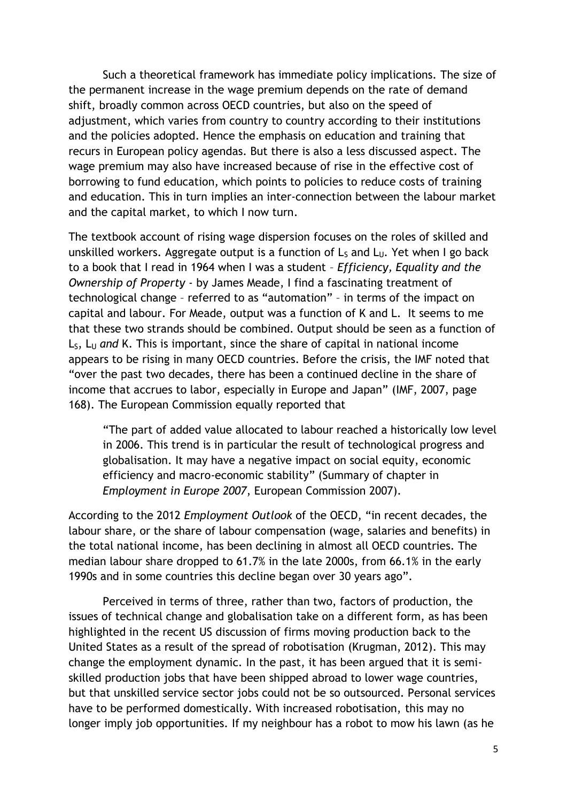Such a theoretical framework has immediate policy implications. The size of the permanent increase in the wage premium depends on the rate of demand shift, broadly common across OECD countries, but also on the speed of adjustment, which varies from country to country according to their institutions and the policies adopted. Hence the emphasis on education and training that recurs in European policy agendas. But there is also a less discussed aspect. The wage premium may also have increased because of rise in the effective cost of borrowing to fund education, which points to policies to reduce costs of training and education. This in turn implies an inter-connection between the labour market and the capital market, to which I now turn.

The textbook account of rising wage dispersion focuses on the roles of skilled and unskilled workers. Aggregate output is a function of  $L<sub>S</sub>$  and  $L<sub>U</sub>$ . Yet when I go back to a book that I read in 1964 when I was a student – *Efficiency, Equality and the Ownership of Property* - by James Meade, I find a fascinating treatment of technological change - referred to as "automation" - in terms of the impact on capital and labour. For Meade, output was a function of K and L. It seems to me that these two strands should be combined. Output should be seen as a function of LS, L<sup>U</sup> *and* K. This is important, since the share of capital in national income appears to be rising in many OECD countries. Before the crisis, the IMF noted that "over the past two decades, there has been a continued decline in the share of income that accrues to labor, especially in Europe and Japan" (IMF, 2007, page 168). The European Commission equally reported that

"The part of added value allocated to labour reached a historically low level in 2006. This trend is in particular the result of technological progress and globalisation. It may have a negative impact on social equity, economic efficiency and macro-economic stability" (Summary of chapter in *Employment in Europe 2007*, European Commission 2007).

According to the 2012 *Employment Outlook* of the OECD, "in recent decades, the labour share, or the share of labour compensation (wage, salaries and benefits) in the total national income, has been declining in almost all OECD countries. The median labour share dropped to 61.7% in the late 2000s, from 66.1% in the early 1990s and in some countries this decline began over 30 years ago".

Perceived in terms of three, rather than two, factors of production, the issues of technical change and globalisation take on a different form, as has been highlighted in the recent US discussion of firms moving production back to the United States as a result of the spread of robotisation (Krugman, 2012). This may change the employment dynamic. In the past, it has been argued that it is semiskilled production jobs that have been shipped abroad to lower wage countries, but that unskilled service sector jobs could not be so outsourced. Personal services have to be performed domestically. With increased robotisation, this may no longer imply job opportunities. If my neighbour has a robot to mow his lawn (as he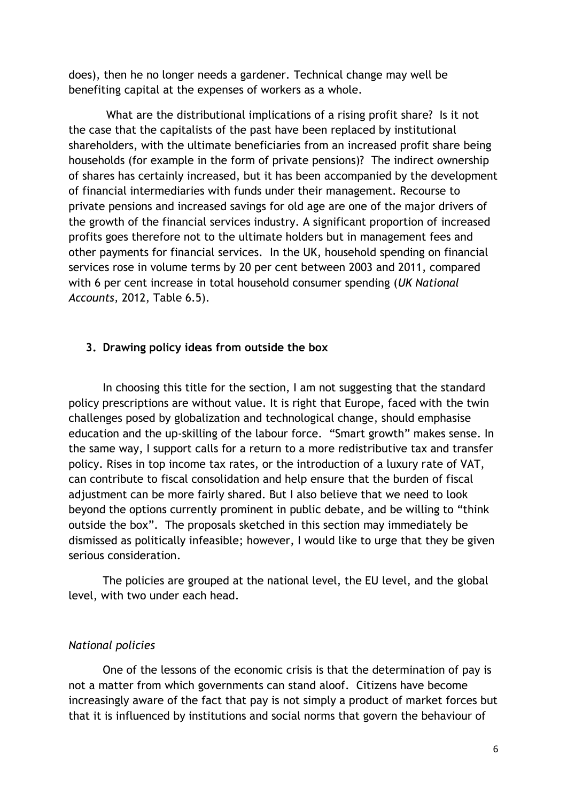does), then he no longer needs a gardener. Technical change may well be benefiting capital at the expenses of workers as a whole.

What are the distributional implications of a rising profit share? Is it not the case that the capitalists of the past have been replaced by institutional shareholders, with the ultimate beneficiaries from an increased profit share being households (for example in the form of private pensions)? The indirect ownership of shares has certainly increased, but it has been accompanied by the development of financial intermediaries with funds under their management. Recourse to private pensions and increased savings for old age are one of the major drivers of the growth of the financial services industry. A significant proportion of increased profits goes therefore not to the ultimate holders but in management fees and other payments for financial services. In the UK, household spending on financial services rose in volume terms by 20 per cent between 2003 and 2011, compared with 6 per cent increase in total household consumer spending (*UK National Accounts,* 2012, Table 6.5).

#### **3. Drawing policy ideas from outside the box**

In choosing this title for the section, I am not suggesting that the standard policy prescriptions are without value. It is right that Europe, faced with the twin challenges posed by globalization and technological change, should emphasise education and the up-skilling of the labour force. "Smart growth" makes sense. In the same way, I support calls for a return to a more redistributive tax and transfer policy. Rises in top income tax rates, or the introduction of a luxury rate of VAT, can contribute to fiscal consolidation and help ensure that the burden of fiscal adjustment can be more fairly shared. But I also believe that we need to look beyond the options currently prominent in public debate, and be willing to "think outside the box". The proposals sketched in this section may immediately be dismissed as politically infeasible; however, I would like to urge that they be given serious consideration.

The policies are grouped at the national level, the EU level, and the global level, with two under each head.

# *National policies*

One of the lessons of the economic crisis is that the determination of pay is not a matter from which governments can stand aloof. Citizens have become increasingly aware of the fact that pay is not simply a product of market forces but that it is influenced by institutions and social norms that govern the behaviour of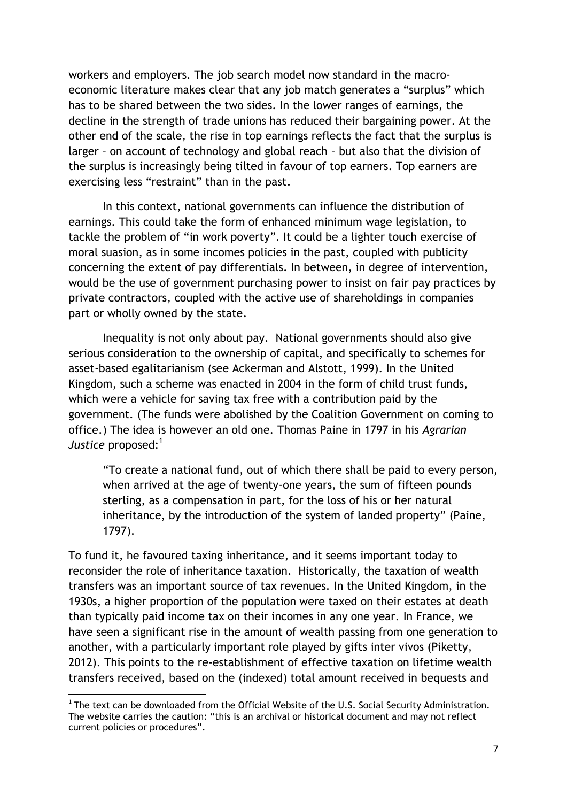workers and employers. The job search model now standard in the macroeconomic literature makes clear that any job match generates a "surplus" which has to be shared between the two sides. In the lower ranges of earnings, the decline in the strength of trade unions has reduced their bargaining power. At the other end of the scale, the rise in top earnings reflects the fact that the surplus is larger – on account of technology and global reach – but also that the division of the surplus is increasingly being tilted in favour of top earners. Top earners are exercising less "restraint" than in the past.

In this context, national governments can influence the distribution of earnings. This could take the form of enhanced minimum wage legislation, to tackle the problem of "in work poverty". It could be a lighter touch exercise of moral suasion, as in some incomes policies in the past, coupled with publicity concerning the extent of pay differentials. In between, in degree of intervention, would be the use of government purchasing power to insist on fair pay practices by private contractors, coupled with the active use of shareholdings in companies part or wholly owned by the state.

Inequality is not only about pay. National governments should also give serious consideration to the ownership of capital, and specifically to schemes for asset-based egalitarianism (see Ackerman and Alstott, 1999). In the United Kingdom, such a scheme was enacted in 2004 in the form of child trust funds, which were a vehicle for saving tax free with a contribution paid by the government. (The funds were abolished by the Coalition Government on coming to office.) The idea is however an old one. Thomas Paine in 1797 in his *Agrarian*  Justice proposed:<sup>1</sup>

―To create a national fund, out of which there shall be paid to every person, when arrived at the age of twenty-one years, the sum of fifteen pounds sterling, as a compensation in part, for the loss of his or her natural inheritance, by the introduction of the system of landed property" (Paine, 1797).

To fund it, he favoured taxing inheritance, and it seems important today to reconsider the role of inheritance taxation. Historically, the taxation of wealth transfers was an important source of tax revenues. In the United Kingdom, in the 1930s, a higher proportion of the population were taxed on their estates at death than typically paid income tax on their incomes in any one year. In France, we have seen a significant rise in the amount of wealth passing from one generation to another, with a particularly important role played by gifts inter vivos (Piketty, 2012). This points to the re-establishment of effective taxation on lifetime wealth transfers received, based on the (indexed) total amount received in bequests and

**<sup>.</sup>**  $1$  The text can be downloaded from the Official Website of the U.S. Social Security Administration. The website carries the caution: "this is an archival or historical document and may not reflect current policies or procedures".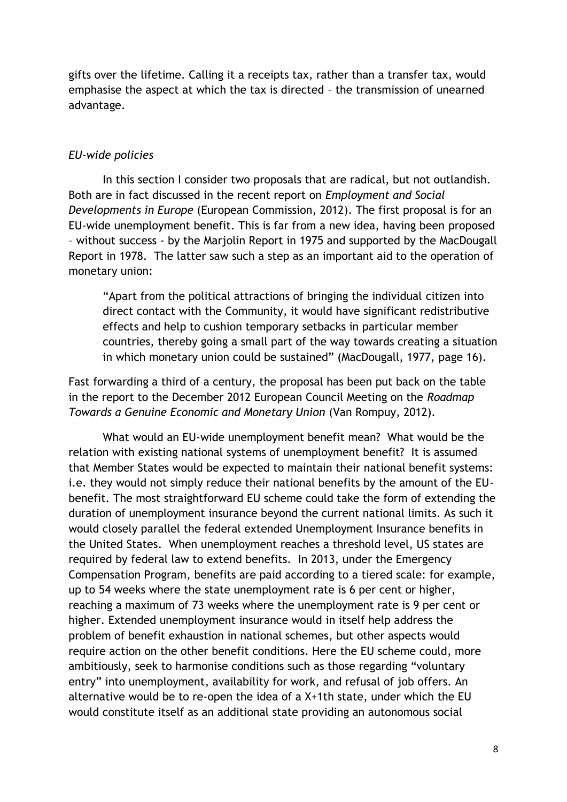gifts over the lifetime. Calling it a receipts tax, rather than a transfer tax, would emphasise the aspect at which the tax is directed – the transmission of unearned advantage.

### *EU-wide policies*

In this section I consider two proposals that are radical, but not outlandish. Both are in fact discussed in the recent report on *Employment and Social Developments in Europe* (European Commission, 2012). The first proposal is for an EU-wide unemployment benefit. This is far from a new idea, having been proposed – without success - by the Marjolin Report in 1975 and supported by the MacDougall Report in 1978. The latter saw such a step as an important aid to the operation of monetary union:

"Apart from the political attractions of bringing the individual citizen into direct contact with the Community, it would have significant redistributive effects and help to cushion temporary setbacks in particular member countries, thereby going a small part of the way towards creating a situation in which monetary union could be sustained" (MacDougall, 1977, page 16).

Fast forwarding a third of a century, the proposal has been put back on the table in the report to the December 2012 European Council Meeting on the *Roadmap Towards a Genuine Economic and Monetary Union* (Van Rompuy, 2012).

What would an EU-wide unemployment benefit mean? What would be the relation with existing national systems of unemployment benefit? It is assumed that Member States would be expected to maintain their national benefit systems: i.e. they would not simply reduce their national benefits by the amount of the EUbenefit. The most straightforward EU scheme could take the form of extending the duration of unemployment insurance beyond the current national limits. As such it would closely parallel the federal extended Unemployment Insurance benefits in the United States. When unemployment reaches a threshold level, US states are required by federal law to extend benefits. In 2013, under the Emergency Compensation Program, benefits are paid according to a tiered scale: for example, up to 54 weeks where the state unemployment rate is 6 per cent or higher, reaching a maximum of 73 weeks where the unemployment rate is 9 per cent or higher. Extended unemployment insurance would in itself help address the problem of benefit exhaustion in national schemes, but other aspects would require action on the other benefit conditions. Here the EU scheme could, more ambitiously, seek to harmonise conditions such as those regarding "voluntary entry" into unemployment, availability for work, and refusal of job offers. An alternative would be to re-open the idea of a X+1th state, under which the EU would constitute itself as an additional state providing an autonomous social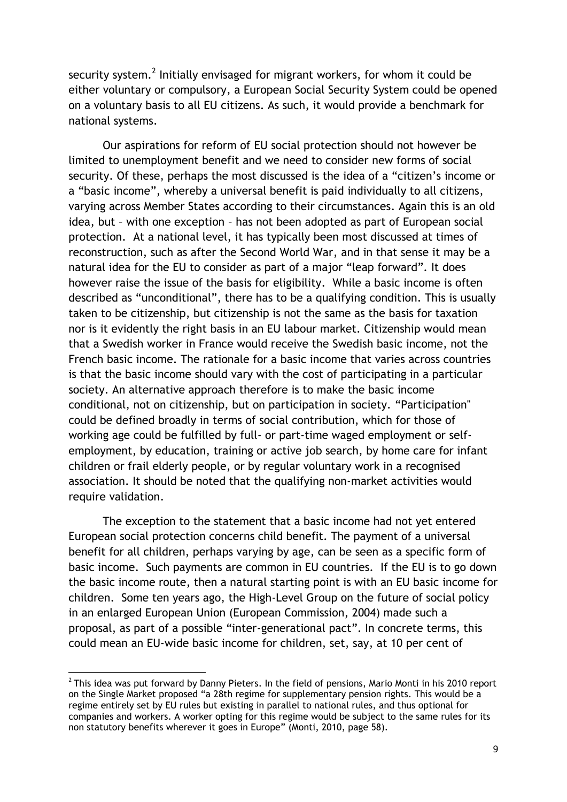security system.<sup>2</sup> Initially envisaged for migrant workers, for whom it could be either voluntary or compulsory, a European Social Security System could be opened on a voluntary basis to all EU citizens. As such, it would provide a benchmark for national systems.

Our aspirations for reform of EU social protection should not however be limited to unemployment benefit and we need to consider new forms of social security. Of these, perhaps the most discussed is the idea of a "citizen's income or a "basic income", whereby a universal benefit is paid individually to all citizens, varying across Member States according to their circumstances. Again this is an old idea, but – with one exception – has not been adopted as part of European social protection. At a national level, it has typically been most discussed at times of reconstruction, such as after the Second World War, and in that sense it may be a natural idea for the EU to consider as part of a major "leap forward". It does however raise the issue of the basis for eligibility. While a basic income is often described as "unconditional", there has to be a qualifying condition. This is usually taken to be citizenship, but citizenship is not the same as the basis for taxation nor is it evidently the right basis in an EU labour market. Citizenship would mean that a Swedish worker in France would receive the Swedish basic income, not the French basic income. The rationale for a basic income that varies across countries is that the basic income should vary with the cost of participating in a particular society. An alternative approach therefore is to make the basic income conditional, not on citizenship, but on participation in society. "Participation" could be defined broadly in terms of social contribution, which for those of working age could be fulfilled by full- or part-time waged employment or selfemployment, by education, training or active job search, by home care for infant children or frail elderly people, or by regular voluntary work in a recognised association. It should be noted that the qualifying non-market activities would require validation.

The exception to the statement that a basic income had not yet entered European social protection concerns child benefit. The payment of a universal benefit for all children, perhaps varying by age, can be seen as a specific form of basic income. Such payments are common in EU countries. If the EU is to go down the basic income route, then a natural starting point is with an EU basic income for children. Some ten years ago, the High-Level Group on the future of social policy in an enlarged European Union (European Commission, 2004) made such a proposal, as part of a possible "inter-generational pact". In concrete terms, this could mean an EU-wide basic income for children, set, say, at 10 per cent of

**.** 

 $2$  This idea was put forward by Danny Pieters. In the field of pensions, Mario Monti in his 2010 report on the Single Market proposed "a 28th regime for supplementary pension rights. This would be a regime entirely set by EU rules but existing in parallel to national rules, and thus optional for companies and workers. A worker opting for this regime would be subject to the same rules for its non statutory benefits wherever it goes in Europe" (Monti, 2010, page 58).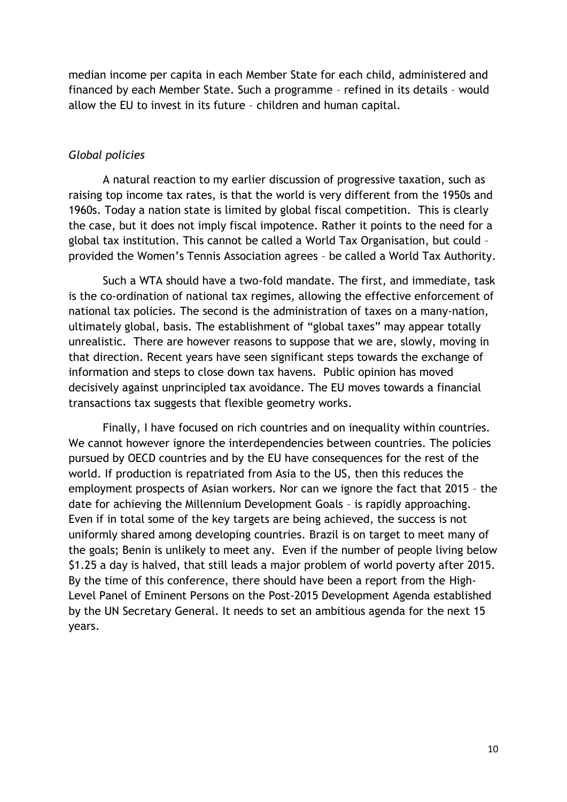median income per capita in each Member State for each child, administered and financed by each Member State. Such a programme – refined in its details – would allow the EU to invest in its future – children and human capital.

### *Global policies*

A natural reaction to my earlier discussion of progressive taxation, such as raising top income tax rates, is that the world is very different from the 1950s and 1960s. Today a nation state is limited by global fiscal competition. This is clearly the case, but it does not imply fiscal impotence. Rather it points to the need for a global tax institution. This cannot be called a World Tax Organisation, but could – provided the Women's Tennis Association agrees – be called a World Tax Authority.

Such a WTA should have a two-fold mandate. The first, and immediate, task is the co-ordination of national tax regimes, allowing the effective enforcement of national tax policies. The second is the administration of taxes on a many-nation, ultimately global, basis. The establishment of "global taxes" may appear totally unrealistic. There are however reasons to suppose that we are, slowly, moving in that direction. Recent years have seen significant steps towards the exchange of information and steps to close down tax havens. Public opinion has moved decisively against unprincipled tax avoidance. The EU moves towards a financial transactions tax suggests that flexible geometry works.

Finally, I have focused on rich countries and on inequality within countries. We cannot however ignore the interdependencies between countries. The policies pursued by OECD countries and by the EU have consequences for the rest of the world. If production is repatriated from Asia to the US, then this reduces the employment prospects of Asian workers. Nor can we ignore the fact that 2015 – the date for achieving the Millennium Development Goals – is rapidly approaching. Even if in total some of the key targets are being achieved, the success is not uniformly shared among developing countries. Brazil is on target to meet many of the goals; Benin is unlikely to meet any. Even if the number of people living below \$1.25 a day is halved, that still leads a major problem of world poverty after 2015. By the time of this conference, there should have been a report from the High‐ Level Panel of Eminent Persons on the Post‐2015 Development Agenda established by the UN Secretary General. It needs to set an ambitious agenda for the next 15 years.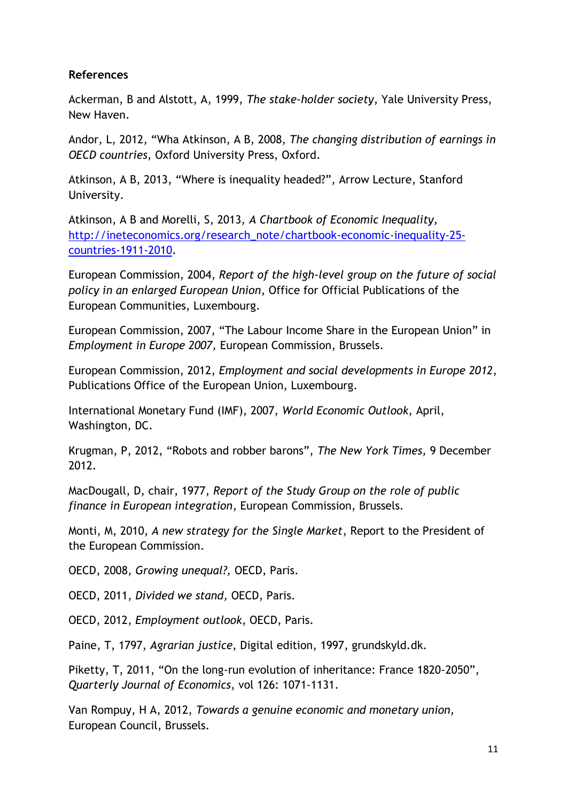### **References**

Ackerman, B and Alstott, A, 1999, *The stake-holder society*, Yale University Press, New Haven.

Andor, L, 2012, "Wha Atkinson, A B, 2008, *The changing distribution of earnings in OECD countries,* Oxford University Press, Oxford.

Atkinson, A B, 2013, "Where is inequality headed?", Arrow Lecture, Stanford University.

Atkinson, A B and Morelli, S, 2013, *A Chartbook of Economic Inequality,*  [http://ineteconomics.org/research\\_note/chartbook-economic-inequality-25](http://ineteconomics.org/research_note/chartbook-economic-inequality-25-countries-1911-2010) [countries-1911-2010.](http://ineteconomics.org/research_note/chartbook-economic-inequality-25-countries-1911-2010)

European Commission, 2004, *Report of the high-level group on the future of social policy in an enlarged European Union*, Office for Official Publications of the European Communities, Luxembourg.

European Commission, 2007, "The Labour Income Share in the European Union" in *Employment in Europe 2007,* European Commission, Brussels.

European Commission, 2012, *Employment and social developments in Europe 2012*, Publications Office of the European Union, Luxembourg.

International Monetary Fund (IMF), 2007, *World Economic Outlook*, April, Washington, DC.

Krugman, P, 2012, "Robots and robber barons", *The New York Times*, 9 December 2012.

MacDougall, D, chair, 1977, *Report of the Study Group on the role of public finance in European integration*, European Commission, Brussels.

Monti, M, 2010, *A new strategy for the Single Market*, Report to the President of the European Commission.

OECD, 2008, *Growing unequal?,* OECD, Paris.

OECD, 2011, *Divided we stand,* OECD, Paris.

OECD, 2012, *Employment outlook*, OECD, Paris.

Paine, T, 1797, *Agrarian justice*, Digital edition, 1997, grundskyld.dk.

Piketty, T, 2011, "On the long-run evolution of inheritance: France 1820-2050", *Quarterly Journal of Economics*, vol 126: 1071-1131.

Van Rompuy, H A, 2012, *Towards a genuine economic and monetary union,*  European Council, Brussels.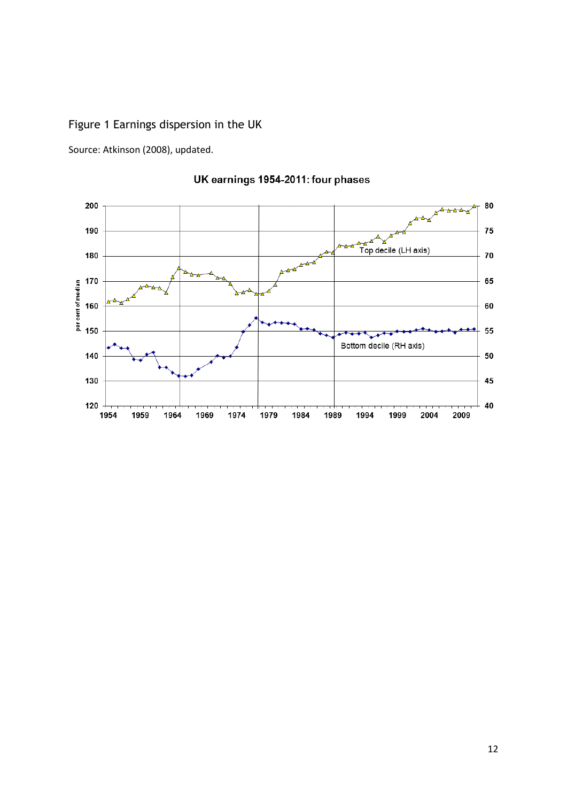# Figure 1 Earnings dispersion in the UK

Source: Atkinson (2008), updated.



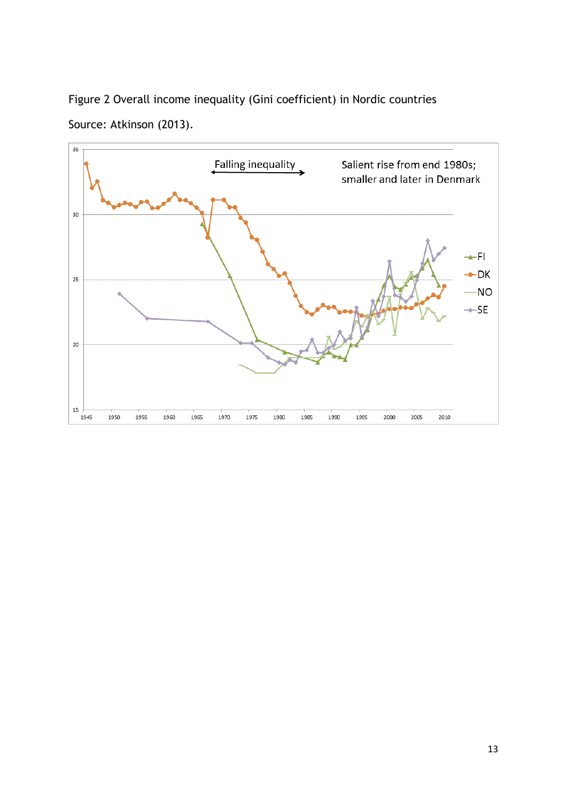Figure 2 Overall income inequality (Gini coefficient) in Nordic countries



Source: Atkinson (2013).